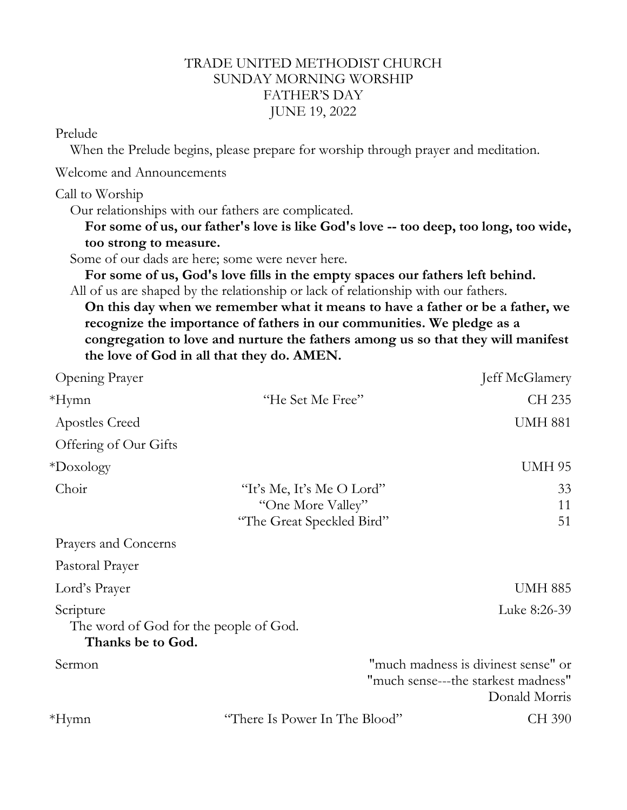## TRADE UNITED METHODIST CHURCH SUNDAY MORNING WORSHIP FATHER'S DAY JUNE 19, 2022

## Prelude

When the Prelude begins, please prepare for worship through prayer and meditation.

Welcome and Announcements

Call to Worship

Our relationships with our fathers are complicated.

**For some of us, our father's love is like God's love -- too deep, too long, too wide, too strong to measure.**

Some of our dads are here; some were never here.

**For some of us, God's love fills in the empty spaces our fathers left behind.** All of us are shaped by the relationship or lack of relationship with our fathers.

**On this day when we remember what it means to have a father or be a father, we recognize the importance of fathers in our communities. We pledge as a congregation to love and nurture the fathers among us so that they will manifest the love of God in all that they do. AMEN.**

| Opening Prayer                                                           |                                                                             | Jeff McGlamery                                                                              |
|--------------------------------------------------------------------------|-----------------------------------------------------------------------------|---------------------------------------------------------------------------------------------|
| *Hymn                                                                    | "He Set Me Free"                                                            | CH 235                                                                                      |
| Apostles Creed                                                           |                                                                             | <b>UMH 881</b>                                                                              |
| Offering of Our Gifts                                                    |                                                                             |                                                                                             |
| $*$ Doxology                                                             |                                                                             | <b>UMH 95</b>                                                                               |
| Choir                                                                    | "It's Me, It's Me O Lord"<br>"One More Valley"<br>"The Great Speckled Bird" | 33<br>11<br>51                                                                              |
| Prayers and Concerns                                                     |                                                                             |                                                                                             |
| Pastoral Prayer                                                          |                                                                             |                                                                                             |
| Lord's Prayer                                                            |                                                                             | <b>UMH 885</b>                                                                              |
| Scripture<br>The word of God for the people of God.<br>Thanks be to God. |                                                                             | Luke 8:26-39                                                                                |
| Sermon                                                                   |                                                                             | "much madness is divinest sense" or<br>"much sense---the starkest madness"<br>Donald Morris |
| $*Hymn$                                                                  | "There Is Power In The Blood"                                               | CH 390                                                                                      |